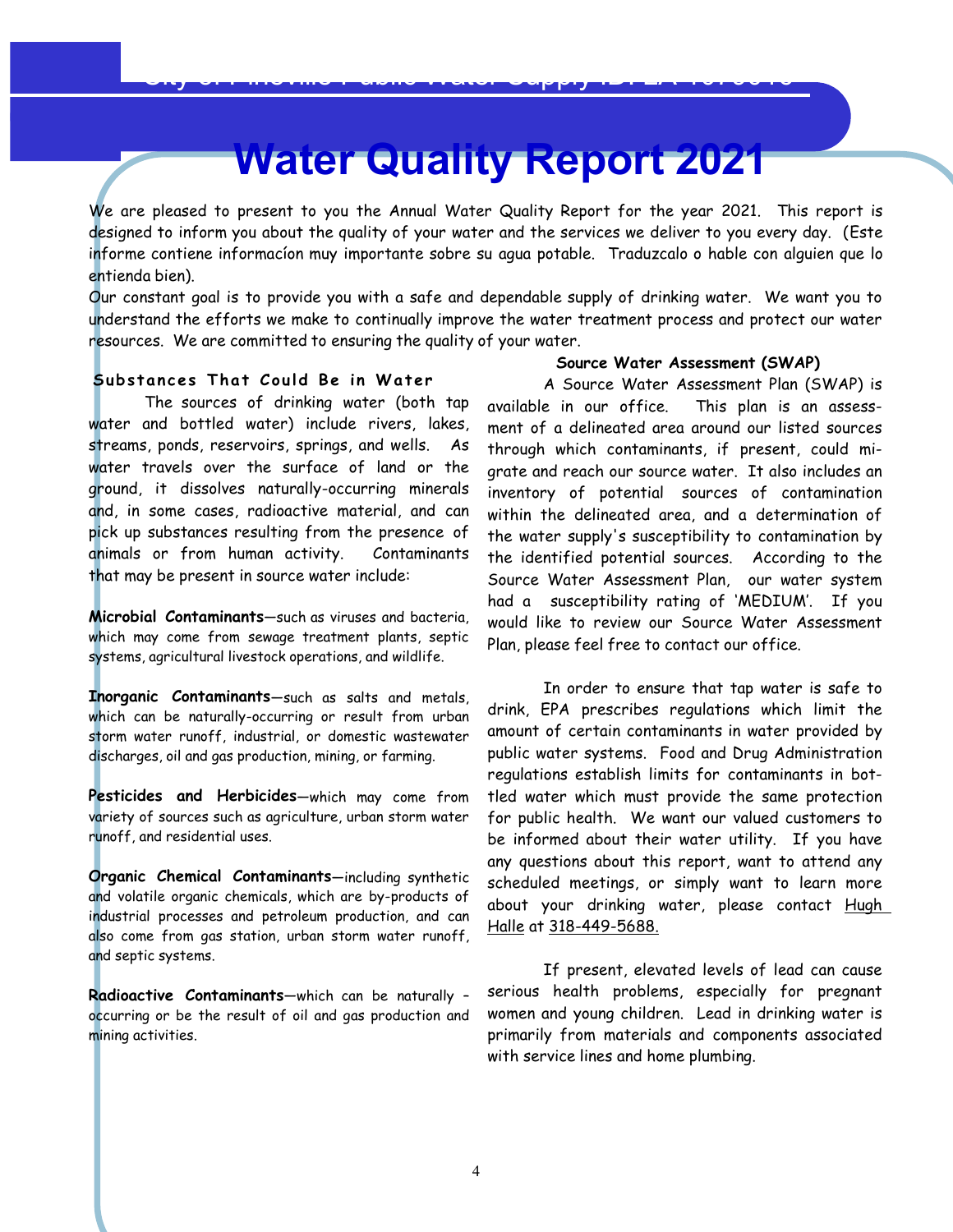# **Water Quality Report 2021**

We are pleased to present to you the Annual Water Quality Report for the year 2021. This report is designed to inform you about the quality of your water and the services we deliver to you every day. (Este informe contiene informacíon muy importante sobre su agua potable. Traduzcalo o hable con alguien que lo entienda bien).

Our constant goal is to provide you with a safe and dependable supply of drinking water. We want you to understand the efforts we make to continually improve the water treatment process and protect our water resources. We are committed to ensuring the quality of your water.

# **Subs tan ces That Co u ld Be i n Water**

The sources of drinking water (both tap available in our office. water and bottled water) include rivers, lakes,<br>streams, ponds, reservoirs, springs, and wells. As water travels over the surface of land or the ground, it dissolves naturally-occurring minerals and, in some cases, radioactive material, and can pick up substances resulting from the presence of animals or from human activity. Contaminants that may be present in source water include:

**Microbial Contaminants**—such as viruses and bacteria, which may come from sewage treatment plants,septic systems, agricultural livestock operations, and wildlife.

**Inorganic Contaminants**—such as salts and metals, which can be naturally-occurring or result from urban storm water runoff, industrial, or domestic wastewater discharges, oil and gas production, mining, or farming.

**Pesticides and Herbicides**—which may come from variety of sources such as agriculture, urban storm water runoff, and residential uses.

**Organic Chemical Contaminants**—including synthetic and volatile organic chemicals, which are by-products of industrial processes and petroleum production, and can also come from gas station, urban storm water runoff, and septic systems.

**Radioactive Contaminants**—which can be naturally – occurring or be the result of oil and gas production and mining activities.

### **Source Water Assessment (SWAP)**

A Source Water Assessment Plan (SWAP) is available in our office. This plan is an assess- ment of <sup>a</sup> delineated area around our listed sources through which contaminants, if present, could migrate and reach our source water. It also includes an inventory of potential sources of contamination within the delineated area, and a determination of the water supply's susceptibility to contamination by the identified potential sources. According to the Source Water Assessment Plan, our water system had a susceptibility rating of 'MEDIUM'. If you would like to review our Source Water Assessment Plan, please feel free to contact our office.

In order to ensure that tap water is safe to drink, EPA prescribes regulations which limit the amount of certain contaminants in water provided by public water systems. Food and Drug Administration regulations establish limits for contaminants in bottled water which must provide the same protection for public health. We want our valued customers to be informed about their water utility. If you have any questions about this report, want to attend any scheduled meetings, or simply want to learn more about your drinking water, please contact Hugh Halle at 318-449-5688.

If present, elevated levels of lead can cause serious health problems, especially for pregnant women and young children. Lead in drinking water is primarily from materials and components associated with service lines and home plumbing.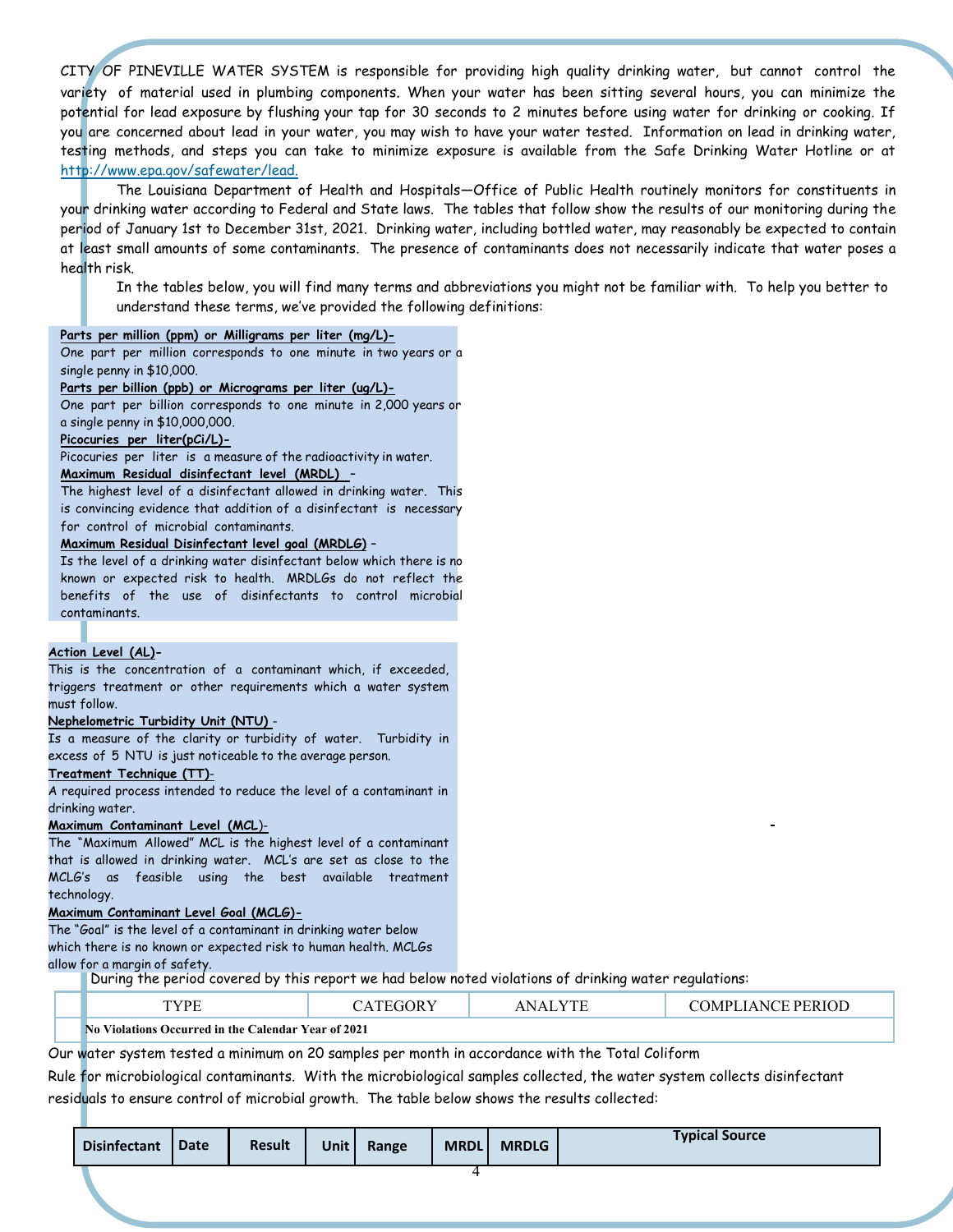CITY OF PINEVILLE WATER SYSTEM is responsible for providing high quality drinking water, but cannot control the variety of material used in plumbing components. When your water has been sitting several hours, you can minimize the potential for lead exposure by flushing your tap for 30 seconds to 2 minutes before using water for drinking or cooking. If you are concerned about lead inyour water, you may wish to have your water tested. Information on lead indrinking water, testing methods, and steps you can take to minimize exposure is available from the Safe Drinking Water Hotline or at http://www.epa.gov/safewater/lead.

The Louisiana Department of Health and Hospitals—Office of Public Health routinely monitors for constituents in your drinking water according to Federal and State laws. The tables that follow show the results of our monitoring during the period of January 1st to December 31st, 2021. Drinking water, including bottled water, may reasonably be expected to contain at least small amounts of some contaminants. The presence of contaminants does not necessarily indicate that water poses a health risk.

In the tables below, you will find many terms and abbreviations you might not be familiar with. To help you better to understand these terms, we've provided the following definitions:

#### **Parts per million (ppm) or Milligrams per liter (mg/L)-**

One part per million corresponds to one minute in two years or a single penny in \$10,000.

#### Parts per billion (ppb) or Micrograms per liter (ug/L)-

One part per billion corresponds to one minute in 2,000 years or a single penny in \$10,000,000.

#### **Picocuries per liter(pCi/L)-**

Picocuries per liter is a measure of the radioactivity in water.

#### **Maximum Residual disinfectant level (MRDL)** –

The highest level of a disinfectant allowed in drinking water. This is convincing evidence that addition of a disinfectant is necessary for control of microbial contaminants.

**Maximum Residual Disinfectant level goal (MRDLG)** – Is the level of <sup>a</sup> drinking water disinfectant below which there is no known or expected risk to health. MRDLGs do not reflect the benefits of the use of disinfectants to control microbial contaminants.

#### **Action Level (AL)-**

This is the concentration of a contaminant which, if exceeded, triggers treatment or other requirements which a water system must follow.

#### **Nephelometric Turbidity Unit (NTU)** -

Is a measure of the clarity or turbidity of water. Turbidity in excess of 5 NTU is just noticeable to the average person.

#### **Treatment Technique (TT)**-

A required process intended to reduce the level of a contaminant in drinking water.

#### **Maximum Contaminant Level (MCL**)-

The "Maximum Allowed" MCL is the highest level of a contaminant that is allowed in drinking water. MCL's are set as close to the MCLG's as feasible using the best available treatment technology.

#### **Maximum Contaminant Level Goal (MCLG)-**

The "Goal" is the level of a contaminant in drinking water below which there is no known or expected risk to human health. MCLGs allow for a margin of safety.

During the period covered by this report we had below noted violations of drinking water regulations:

Our water system tested a minimum on 20 samples per month in accordance with the Total Coliform

Rule for microbiological contaminants. With the microbiological samples collected, the water system collects disinfectant residuals to ensure control of microbial growth. The table below shows the results collected:

| <b>Disinfectant</b> | Date | <b>Result</b> | Unit | Range | <b>MRDL</b> | <b>MRDLG</b> | <b>Typical Source</b> |
|---------------------|------|---------------|------|-------|-------------|--------------|-----------------------|
|                     |      |               |      |       |             |              |                       |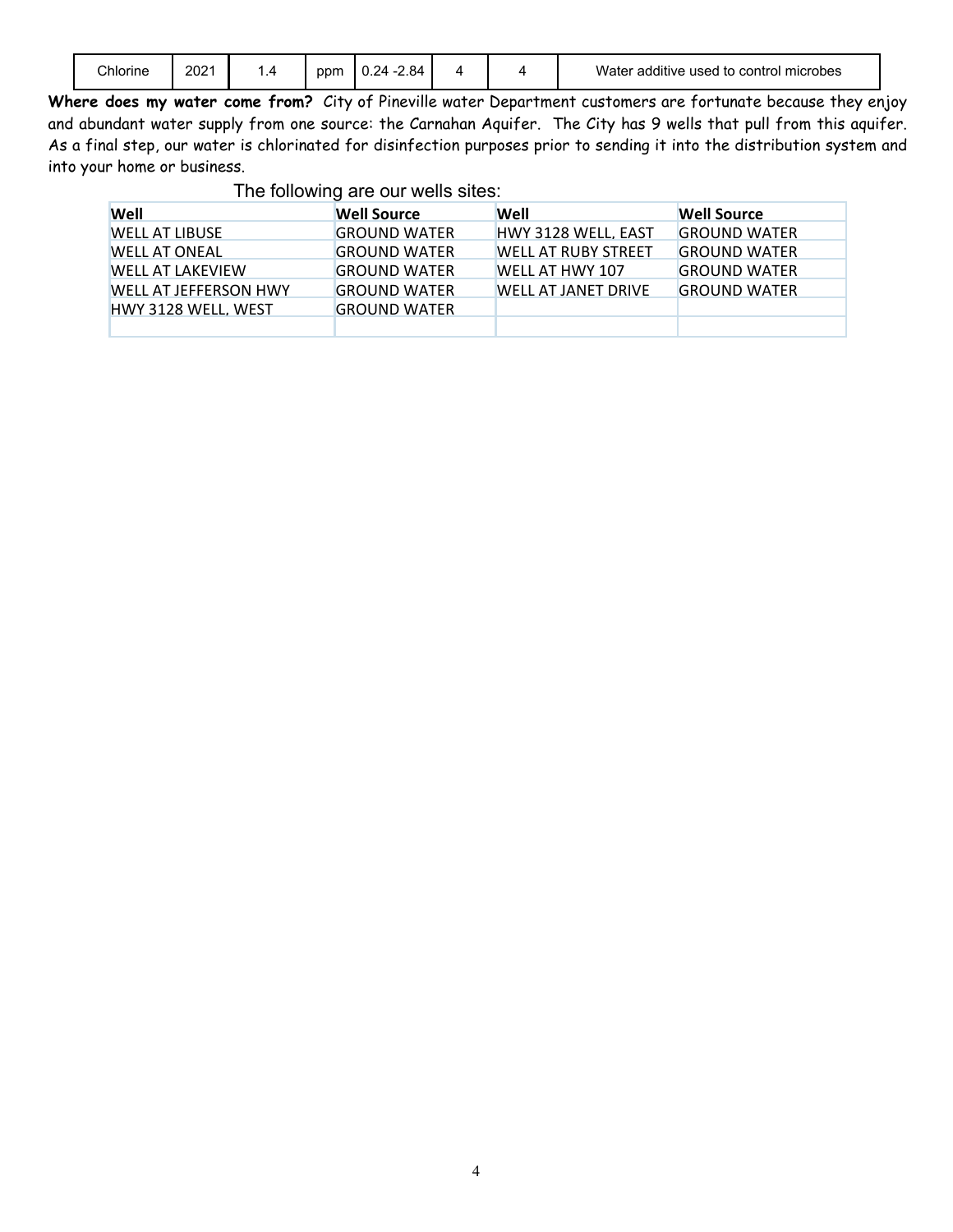|  | Chlorine | 2021 | $\Delta$ | ppm | 2.84<br>24.<br>ັບ.∠− |  |  | e used to control microbes<br>additive<br>water |
|--|----------|------|----------|-----|----------------------|--|--|-------------------------------------------------|
|--|----------|------|----------|-----|----------------------|--|--|-------------------------------------------------|

**Where does my water come from?** City of Pineville water Department customers are fortunate because they enjoy and abundant water supply from one source: the Carnahan Aquifer. The City has 9 wells that pull from this aquifer. As a final step, our water is chlorinated for disinfection purposes prior to sending it into the distribution system and into your home or business.

The following are our wells sites:

| Well                         | <b>Well Source</b>  | Well                       | <b>Well Source</b>  |
|------------------------------|---------------------|----------------------------|---------------------|
| <b>WELL AT LIBUSE</b>        | <b>GROUND WATER</b> | <b>HWY 3128 WELL, EAST</b> | <b>GROUND WATER</b> |
| <b>WELL AT ONEAL</b>         | <b>GROUND WATER</b> | <b>WELL AT RUBY STREET</b> | <b>GROUND WATER</b> |
| <b>WELL AT LAKEVIEW</b>      | <b>GROUND WATER</b> | WELL AT HWY 107            | <b>GROUND WATER</b> |
| <b>WELL AT JEFFERSON HWY</b> | <b>GROUND WATER</b> | WELL AT JANET DRIVE        | <b>GROUND WATER</b> |
| <b>HWY 3128 WELL, WEST</b>   | <b>GROUND WATER</b> |                            |                     |
|                              |                     |                            |                     |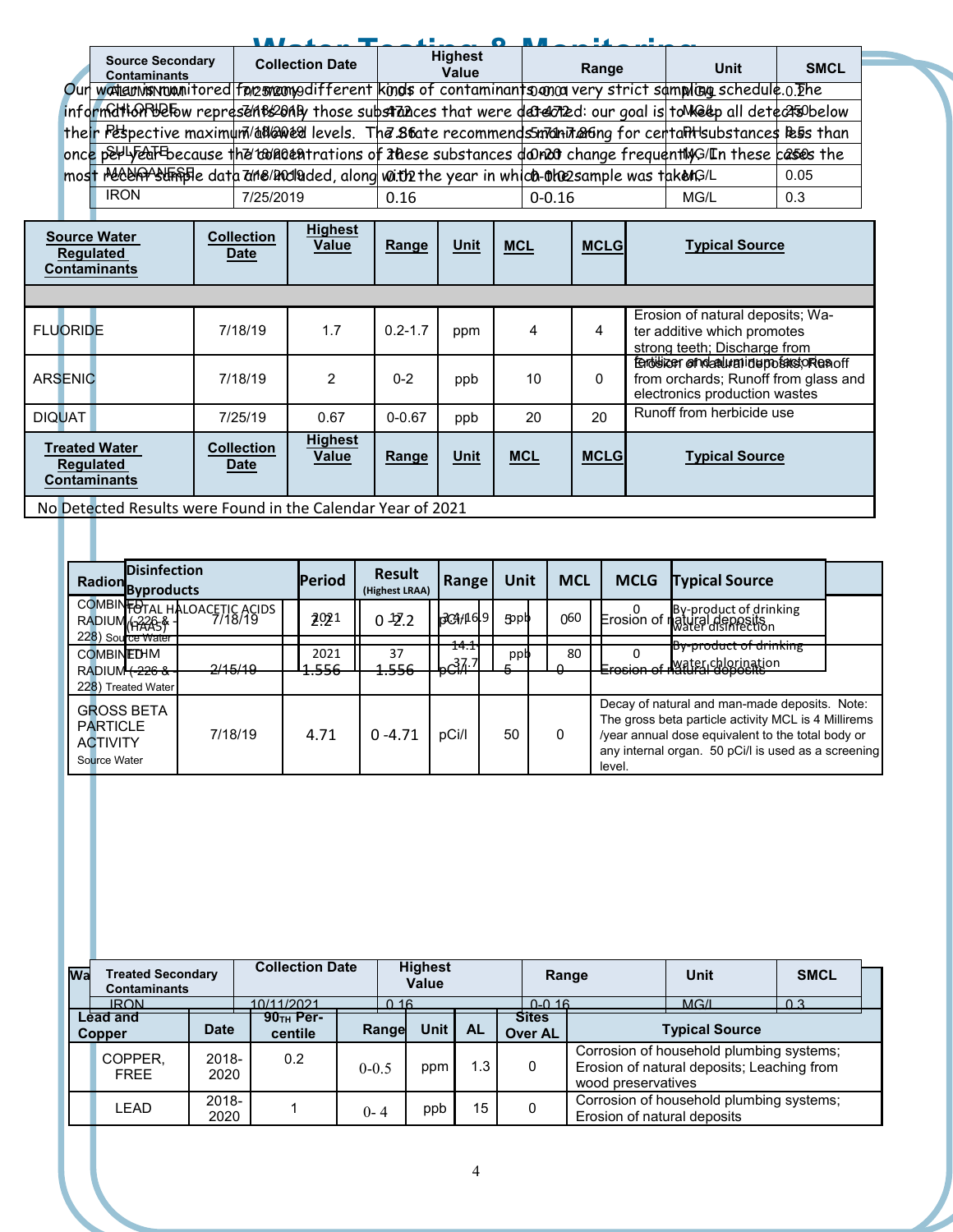|                                                                                                                     | . <i>. .</i>           |                         |            |      |             |  |
|---------------------------------------------------------------------------------------------------------------------|------------------------|-------------------------|------------|------|-------------|--|
| <b>Source Secondary</b><br><b>Contaminants</b>                                                                      | <b>Collection Date</b> | <b>Highest</b><br>Value | Range      | Unit | <b>SMCL</b> |  |
| Our worldunishruanitored foresmented if ferent kinds of contaminant som on very strict sampling schedule.0. The     |                        |                         |            |      |             |  |
| informattion webpress in the sense in those substrances that were detected: our goal is to Meter all detects obelow |                        |                         |            |      |             |  |
| their Pespective maximum/adlaned levels. The 86ate recommends manihaling for centalitisubstances beiss than         |                        |                         |            |      |             |  |
| once perly earthecause the target trations of these substances de mean on ange frequently G/In these cases the      |                        |                         |            |      |             |  |
| most received straight data the and laded, along with the year in which the sample was taken G/L                    |                        |                         |            |      | 0.05        |  |
| <b>IRON</b>                                                                                                         | 7/25/2019              | 0.16                    | $0 - 0.16$ | MG/L | 0.3         |  |
|                                                                                                                     |                        |                         |            |      |             |  |

| <b>Source Water</b><br><b>Regulated</b><br><b>Contaminants</b>  | <b>Collection</b><br><b>Date</b>                            | <b>Highest</b><br>Value | Range       | <b>Unit</b> | $MCL$      | <b>MCLG</b> | <b>Typical Source</b>                                                                                                |  |  |  |  |
|-----------------------------------------------------------------|-------------------------------------------------------------|-------------------------|-------------|-------------|------------|-------------|----------------------------------------------------------------------------------------------------------------------|--|--|--|--|
|                                                                 |                                                             |                         |             |             |            |             |                                                                                                                      |  |  |  |  |
| <b>FLUORIDE</b>                                                 | 7/18/19                                                     | 1.7                     | $0.2 - 1.7$ | ppm         | 4          | 4           | Erosion of natural deposits; Wa-<br>ter additive which promotes<br>strong teeth; Discharge from                      |  |  |  |  |
| <b>ARSENIC</b>                                                  | 7/18/19                                                     | $\overline{2}$          | $0 - 2$     | ppb         | 10         | 0           | ferdisizer afndaturationerpositistorien off<br>from orchards; Runoff from glass and<br>electronics production wastes |  |  |  |  |
| <b>DIQUAT</b>                                                   | 7/25/19                                                     | 0.67                    | $0 - 0.67$  | ppb         | 20         | 20          | Runoff from herbicide use                                                                                            |  |  |  |  |
| <b>Treated Water</b><br><b>Regulated</b><br><b>Contaminants</b> | <b>Collection</b><br><b>Date</b>                            | <b>Highest</b><br>Value | Range       | <b>Unit</b> | <b>MCL</b> | <b>MCLG</b> | <b>Typical Source</b>                                                                                                |  |  |  |  |
|                                                                 | No Detected Pecults were Found in the Calendar Vear of 2021 |                         |             |             |            |             |                                                                                                                      |  |  |  |  |

No Detected Results were Found in the Calendar Year of 2021

| <b>Disinfection</b><br>Radion Byproducts                                      |                                         | <b>Period</b>            | <b>Result</b><br>(Highest LRAA) | Range                           | Unit     | <b>MCL</b> | <b>MCLG</b> | <b>Typical Source</b>                                                                                                                                                                                            |  |
|-------------------------------------------------------------------------------|-----------------------------------------|--------------------------|---------------------------------|---------------------------------|----------|------------|-------------|------------------------------------------------------------------------------------------------------------------------------------------------------------------------------------------------------------------|--|
| RADIUM <sub>(12205</sub> & -<br>228) Source Water                             | COMBINFOTAL HALOACETIC ACIDS<br>7/18/19 | 2021                     | $0 - 27.2$                      | $\beta$ CH $\beta$ 19           | 5        | 060        |             | D By-product of drinking<br>Frosion of natural deposits                                                                                                                                                          |  |
| <b>COMBINEDHM</b><br><b>RADIUM<del>(226 &amp;</del></b><br>228) Treated Water | <del>2/15/19</del>                      | 2021<br><del>1.556</del> | 37<br><del>1.556</del>          | 111<br>14.1<br>$h^{37.7}$<br>ᠳᠬ | ppp<br>σ | 80         |             | By-product of drinking<br><u>. Water chlorinati</u> on<br>— <del>vələri bi halarar uçlayan</del> a                                                                                                               |  |
| <b>GROSS BETA</b><br><b>PARTICLE</b><br><b>ACTIVITY</b><br>Source Water       | 7/18/19                                 | 4.71                     | $0 - 4.71$                      | pCi/l                           | 50       | 0          | level.      | Decay of natural and man-made deposits. Note:<br>The gross beta particle activity MCL is 4 Millirems<br>/year annual dose equivalent to the total body or<br>any internal organ. 50 pCi/l is used as a screening |  |

| Wa | <b>Treated Secondary</b><br><b>Contaminants</b><br><b>IRON</b> |               | <b>Collection Date</b><br>10/11/2021 | 0.16      | <b>Highest</b><br>Value |               | $0 - 0.16$              | Range                       | Unit<br>MGM                                                                            | <b>SMCL</b><br>በ 3 |  |
|----|----------------------------------------------------------------|---------------|--------------------------------------|-----------|-------------------------|---------------|-------------------------|-----------------------------|----------------------------------------------------------------------------------------|--------------------|--|
|    | Lead and<br>Copper                                             | <b>Date</b>   | $90TH$ Per-<br>centile               | Range     | Unit I                  | <b>AL</b>     | <b>Sites</b><br>Over AL |                             | <b>Typical Source</b>                                                                  |                    |  |
|    | COPPER,<br><b>FREE</b>                                         | 2018-<br>2020 | 0.2                                  | $0 - 0.5$ | ppm                     | $\mathbf{.3}$ |                         | wood preservatives          | Corrosion of household plumbing systems;<br>Erosion of natural deposits; Leaching from |                    |  |
|    | LEAD                                                           | 2018-<br>2020 |                                      | $0 - 4$   | ppb                     | 15            |                         | Erosion of natural deposits | Corrosion of household plumbing systems;                                               |                    |  |